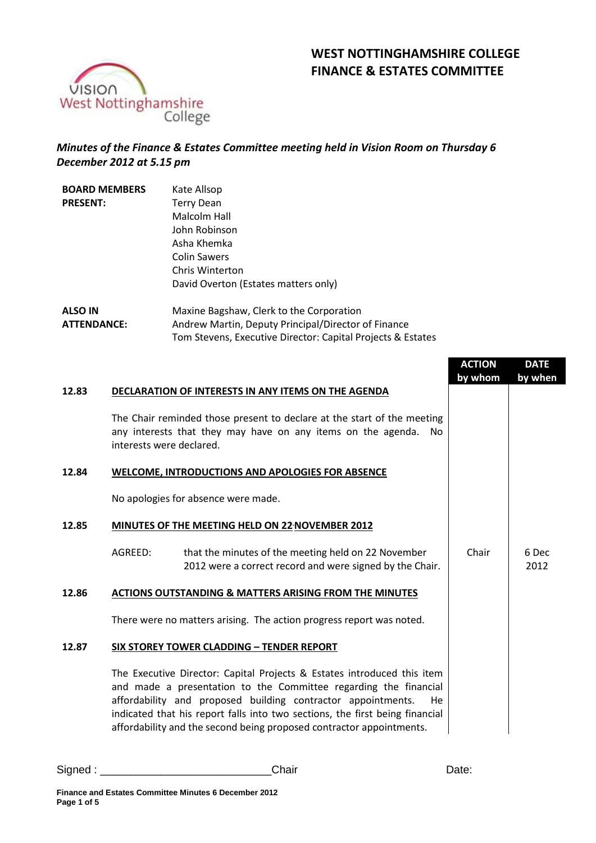# **WEST NOTTINGHAMSHIRE COLLEGE FINANCE & ESTATES COMMITTEE**



## *Minutes of the Finance & Estates Committee meeting held in Vision Room on Thursday 6 December 2012 at 5.15 pm*

| <b>BOARD MEMBERS</b> | Kate Allsop                                                 |  |  |  |
|----------------------|-------------------------------------------------------------|--|--|--|
| <b>PRESENT:</b>      | Terry Dean                                                  |  |  |  |
|                      | Malcolm Hall                                                |  |  |  |
|                      | John Robinson                                               |  |  |  |
|                      | Asha Khemka                                                 |  |  |  |
|                      | <b>Colin Sawers</b>                                         |  |  |  |
|                      | Chris Winterton                                             |  |  |  |
|                      | David Overton (Estates matters only)                        |  |  |  |
| <b>ALSO IN</b>       | Maxine Bagshaw, Clerk to the Corporation                    |  |  |  |
| <b>ATTENDANCE:</b>   | Andrew Martin, Deputy Principal/Director of Finance         |  |  |  |
|                      | Tom Stevens, Executive Director: Capital Projects & Estates |  |  |  |

|       |                                                         |                                                                                                                                                                                                                                                                                                                                                                           | <b>ACTION</b><br>by whom | <b>DATE</b><br>by when |
|-------|---------------------------------------------------------|---------------------------------------------------------------------------------------------------------------------------------------------------------------------------------------------------------------------------------------------------------------------------------------------------------------------------------------------------------------------------|--------------------------|------------------------|
| 12.83 |                                                         | DECLARATION OF INTERESTS IN ANY ITEMS ON THE AGENDA                                                                                                                                                                                                                                                                                                                       |                          |                        |
|       | interests were declared.                                | The Chair reminded those present to declare at the start of the meeting<br>any interests that they may have on any items on the agenda.<br>No.                                                                                                                                                                                                                            |                          |                        |
| 12.84 | <b>WELCOME, INTRODUCTIONS AND APOLOGIES FOR ABSENCE</b> |                                                                                                                                                                                                                                                                                                                                                                           |                          |                        |
|       |                                                         | No apologies for absence were made.                                                                                                                                                                                                                                                                                                                                       |                          |                        |
| 12.85 | MINUTES OF THE MEETING HELD ON 22 NOVEMBER 2012         |                                                                                                                                                                                                                                                                                                                                                                           |                          |                        |
|       | AGREED:                                                 | that the minutes of the meeting held on 22 November<br>2012 were a correct record and were signed by the Chair.                                                                                                                                                                                                                                                           | Chair                    | 6 Dec<br>2012          |
| 12.86 |                                                         | <b>ACTIONS OUTSTANDING &amp; MATTERS ARISING FROM THE MINUTES</b>                                                                                                                                                                                                                                                                                                         |                          |                        |
|       |                                                         | There were no matters arising. The action progress report was noted.                                                                                                                                                                                                                                                                                                      |                          |                        |
|       |                                                         | SIX STOREY TOWER CLADDING - TENDER REPORT                                                                                                                                                                                                                                                                                                                                 |                          |                        |
|       |                                                         | The Executive Director: Capital Projects & Estates introduced this item<br>and made a presentation to the Committee regarding the financial<br>affordability and proposed building contractor appointments.<br>He<br>indicated that his report falls into two sections, the first being financial<br>affordability and the second being proposed contractor appointments. |                          |                        |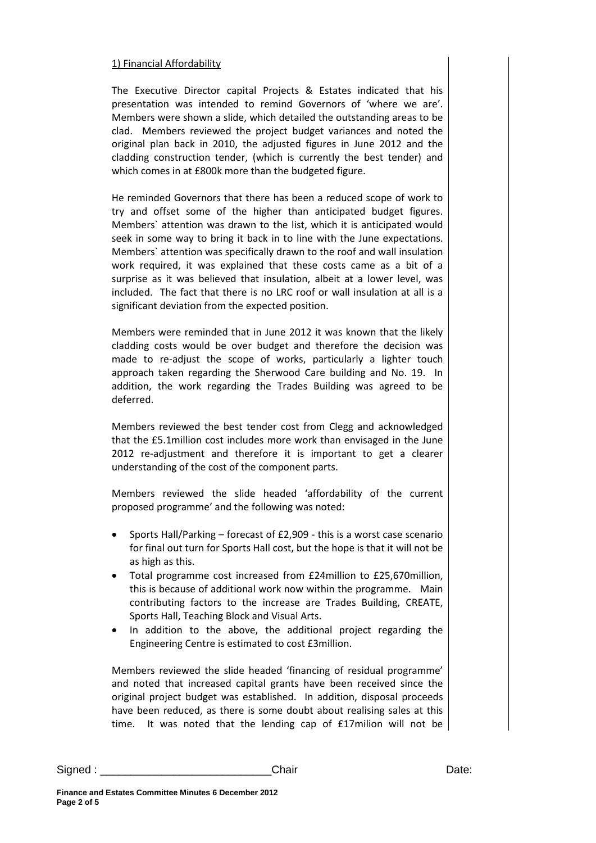#### 1) Financial Affordability

The Executive Director capital Projects & Estates indicated that his presentation was intended to remind Governors of 'where we are'. Members were shown a slide, which detailed the outstanding areas to be clad. Members reviewed the project budget variances and noted the original plan back in 2010, the adjusted figures in June 2012 and the cladding construction tender, (which is currently the best tender) and which comes in at £800k more than the budgeted figure.

He reminded Governors that there has been a reduced scope of work to try and offset some of the higher than anticipated budget figures. Members` attention was drawn to the list, which it is anticipated would seek in some way to bring it back in to line with the June expectations. Members` attention was specifically drawn to the roof and wall insulation work required, it was explained that these costs came as a bit of a surprise as it was believed that insulation, albeit at a lower level, was included. The fact that there is no LRC roof or wall insulation at all is a significant deviation from the expected position.

Members were reminded that in June 2012 it was known that the likely cladding costs would be over budget and therefore the decision was made to re-adjust the scope of works, particularly a lighter touch approach taken regarding the Sherwood Care building and No. 19. In addition, the work regarding the Trades Building was agreed to be deferred.

Members reviewed the best tender cost from Clegg and acknowledged that the £5.1million cost includes more work than envisaged in the June 2012 re-adjustment and therefore it is important to get a clearer understanding of the cost of the component parts.

Members reviewed the slide headed 'affordability of the current proposed programme' and the following was noted:

- Sports Hall/Parking forecast of £2,909 this is a worst case scenario for final out turn for Sports Hall cost, but the hope is that it will not be as high as this.
- Total programme cost increased from £24million to £25,670million, this is because of additional work now within the programme. Main contributing factors to the increase are Trades Building, CREATE, Sports Hall, Teaching Block and Visual Arts.
- In addition to the above, the additional project regarding the Engineering Centre is estimated to cost £3million.

Members reviewed the slide headed 'financing of residual programme' and noted that increased capital grants have been received since the original project budget was established. In addition, disposal proceeds have been reduced, as there is some doubt about realising sales at this time. It was noted that the lending cap of £17milion will not be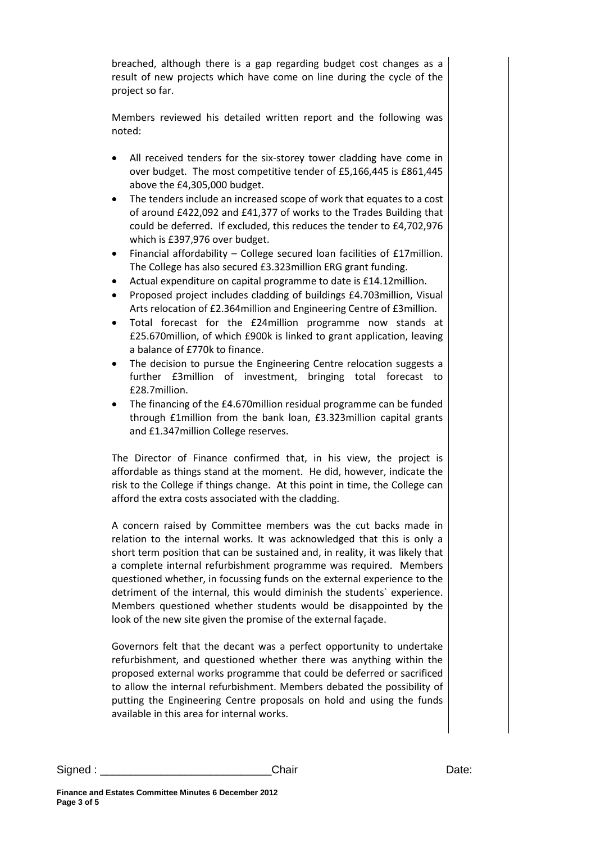breached, although there is a gap regarding budget cost changes as a result of new projects which have come on line during the cycle of the project so far.

Members reviewed his detailed written report and the following was noted:

- All received tenders for the six-storey tower cladding have come in over budget. The most competitive tender of £5,166,445 is £861,445 above the £4,305,000 budget.
- The tenders include an increased scope of work that equates to a cost of around £422,092 and £41,377 of works to the Trades Building that could be deferred. If excluded, this reduces the tender to £4,702,976 which is £397,976 over budget.
- Financial affordability College secured loan facilities of £17million. The College has also secured £3.323million ERG grant funding.
- Actual expenditure on capital programme to date is £14.12million.
- Proposed project includes cladding of buildings £4.703million, Visual Arts relocation of £2.364million and Engineering Centre of £3million.
- Total forecast for the £24million programme now stands at £25.670million, of which £900k is linked to grant application, leaving a balance of £770k to finance.
- The decision to pursue the Engineering Centre relocation suggests a further £3million of investment, bringing total forecast to £28.7million.
- The financing of the £4.670million residual programme can be funded through £1million from the bank loan, £3.323million capital grants and £1.347million College reserves.

The Director of Finance confirmed that, in his view, the project is affordable as things stand at the moment. He did, however, indicate the risk to the College if things change. At this point in time, the College can afford the extra costs associated with the cladding.

A concern raised by Committee members was the cut backs made in relation to the internal works. It was acknowledged that this is only a short term position that can be sustained and, in reality, it was likely that a complete internal refurbishment programme was required. Members questioned whether, in focussing funds on the external experience to the detriment of the internal, this would diminish the students` experience. Members questioned whether students would be disappointed by the look of the new site given the promise of the external façade.

Governors felt that the decant was a perfect opportunity to undertake refurbishment, and questioned whether there was anything within the proposed external works programme that could be deferred or sacrificed to allow the internal refurbishment. Members debated the possibility of putting the Engineering Centre proposals on hold and using the funds available in this area for internal works.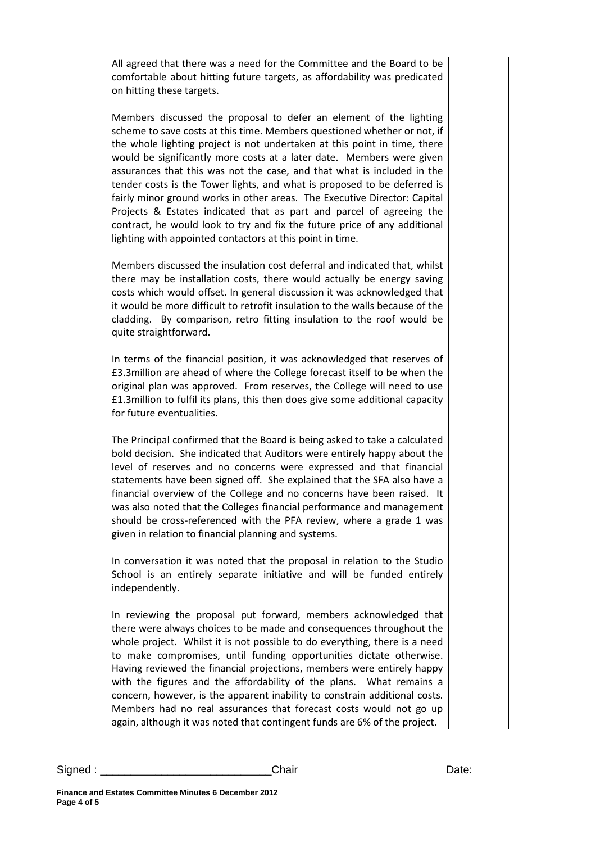All agreed that there was a need for the Committee and the Board to be comfortable about hitting future targets, as affordability was predicated on hitting these targets.

Members discussed the proposal to defer an element of the lighting scheme to save costs at this time. Members questioned whether or not, if the whole lighting project is not undertaken at this point in time, there would be significantly more costs at a later date. Members were given assurances that this was not the case, and that what is included in the tender costs is the Tower lights, and what is proposed to be deferred is fairly minor ground works in other areas. The Executive Director: Capital Projects & Estates indicated that as part and parcel of agreeing the contract, he would look to try and fix the future price of any additional lighting with appointed contactors at this point in time.

Members discussed the insulation cost deferral and indicated that, whilst there may be installation costs, there would actually be energy saving costs which would offset. In general discussion it was acknowledged that it would be more difficult to retrofit insulation to the walls because of the cladding. By comparison, retro fitting insulation to the roof would be quite straightforward.

In terms of the financial position, it was acknowledged that reserves of £3.3million are ahead of where the College forecast itself to be when the original plan was approved. From reserves, the College will need to use £1.3million to fulfil its plans, this then does give some additional capacity for future eventualities.

The Principal confirmed that the Board is being asked to take a calculated bold decision. She indicated that Auditors were entirely happy about the level of reserves and no concerns were expressed and that financial statements have been signed off. She explained that the SFA also have a financial overview of the College and no concerns have been raised. It was also noted that the Colleges financial performance and management should be cross-referenced with the PFA review, where a grade 1 was given in relation to financial planning and systems.

In conversation it was noted that the proposal in relation to the Studio School is an entirely separate initiative and will be funded entirely independently.

In reviewing the proposal put forward, members acknowledged that there were always choices to be made and consequences throughout the whole project. Whilst it is not possible to do everything, there is a need to make compromises, until funding opportunities dictate otherwise. Having reviewed the financial projections, members were entirely happy with the figures and the affordability of the plans. What remains a concern, however, is the apparent inability to constrain additional costs. Members had no real assurances that forecast costs would not go up again, although it was noted that contingent funds are 6% of the project.